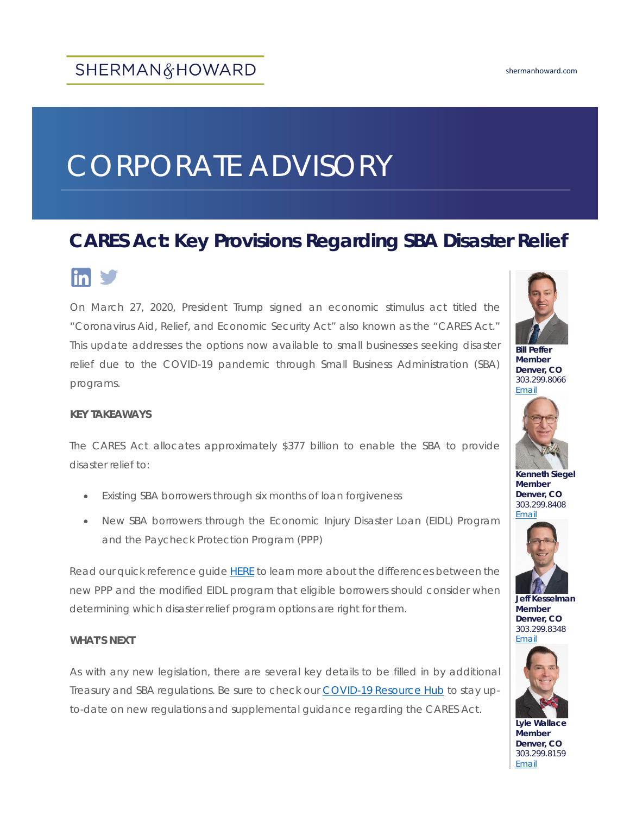# CORPORATE ADVISORY

# **CARES Act: Key Provisions Regarding SBA Disaster Relief**



On March 27, 2020, President Trump signed an economic stimulus act titled the "Coronavirus Aid, Relief, and Economic Security Act" also known as the "CARES Act." This update addresses the options now available to small businesses seeking disaster relief due to the COVID-19 pandemic through Small Business Administration (SBA) programs.

#### **KEY TAKEAWAYS**

The CARES Act allocates approximately \$377 billion to enable the SBA to provide disaster relief to:

- Existing SBA borrowers through six months of loan forgiveness
- New SBA borrowers through the Economic Injury Disaster Loan (EIDL) Program and the Paycheck Protection Program (PPP)

Read our quick reference guid[e HERE](http://shermanhoward.com/wp-content/uploads/2020/03/Corporate-CARES-ACT-Key-Differences-between-PPP-and-EIDL.pdf) to learn more about the differences between the new PPP and the modified EIDL program that eligible borrowers should consider when determining which disaster relief program options are right for them.

#### **WHAT'S NEXT**

As with any new legislation, there are several key details to be filled in by additional Treasury and SBA regulations. Be sure to check our [COVID-19 Resource Hub](https://shermanhoward.com/news/covid-19-resource-hub/) to stay upto-date on new regulations and supplemental guidance regarding the CARES Act.



**Bill Peffer Member Denver, CO** 303.299.8066 [Email](mailto:wpeffer@shermanhoward.com)



**Kenneth Siegel Member Denver, CO** 303.299.8408 [Email](mailto:ksiegel@shermanhoward.com)



**Jeff Kesselman Member Denver, CO** 303.299.8348 [Email](mailto:jkesselman@shermanhoward.com)



**Lyle Wallace Member Denver, CO** 303.299.8159 [Email](mailto:lwallace@shermanhoward.com)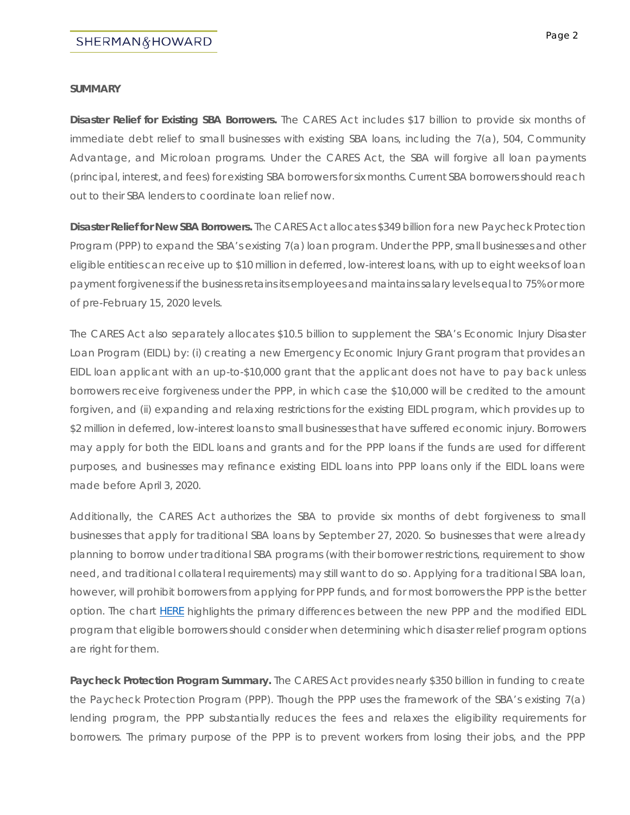#### **SUMMARY**

**Disaster Relief for Existing SBA Borrowers.** The CARES Act includes \$17 billion to provide six months of immediate debt relief to small businesses with existing SBA loans, including the 7(a), 504, Community Advantage, and Microloan programs. Under the CARES Act, the SBA will forgive all loan payments (principal, interest, and fees) for existing SBA borrowers for six months. Current SBA borrowers should reach out to their SBA lenders to coordinate loan relief now.

**Disaster Relief for New SBA Borrowers.** The CARES Act allocates \$349 billion for a new Paycheck Protection Program (PPP) to expand the SBA's existing 7(a) loan program. Under the PPP, small businesses and other eligible entities can receive up to \$10 million in deferred, low-interest loans, with up to eight weeks of loan payment forgiveness if the business retains its employees and maintains salary levels equal to 75% or more of pre-February 15, 2020 levels.

The CARES Act also separately allocates \$10.5 billion to supplement the SBA's Economic Injury Disaster Loan Program (EIDL) by: (i) creating a new Emergency Economic Injury Grant program that provides an EIDL loan applicant with an up-to-\$10,000 grant that the applicant does not have to pay back unless borrowers receive forgiveness under the PPP, in which case the \$10,000 will be credited to the amount forgiven, and (ii) expanding and relaxing restrictions for the existing EIDL program, which provides up to \$2 million in deferred, low-interest loans to small businesses that have suffered economic injury. Borrowers may apply for both the EIDL loans and grants and for the PPP loans if the funds are used for different purposes, and businesses may refinance existing EIDL loans into PPP loans only if the EIDL loans were made before April 3, 2020.

Additionally, the CARES Act authorizes the SBA to provide six months of debt forgiveness to small businesses that apply for traditional SBA loans by September 27, 2020. So businesses that were already planning to borrow under traditional SBA programs (with their borrower restrictions, requirement to show need, and traditional collateral requirements) may still want to do so. Applying for a traditional SBA loan, however, will prohibit borrowers from applying for PPP funds, and for most borrowers the PPP is the better option. The chart [HERE](http://shermanhoward.com/wp-content/uploads/2020/03/Corporate-CARES-ACT-Key-Differences-between-PPP-and-EIDL.pdf) highlights the primary differences between the new PPP and the modified EIDL program that eligible borrowers should consider when determining which disaster relief program options are right for them.

**Paycheck Protection Program Summary.** The CARES Act provides nearly \$350 billion in funding to create the Paycheck Protection Program (PPP). Though the PPP uses the framework of the SBA's existing 7(a) lending program, the PPP substantially reduces the fees and relaxes the eligibility requirements for borrowers. The primary purpose of the PPP is to prevent workers from losing their jobs, and the PPP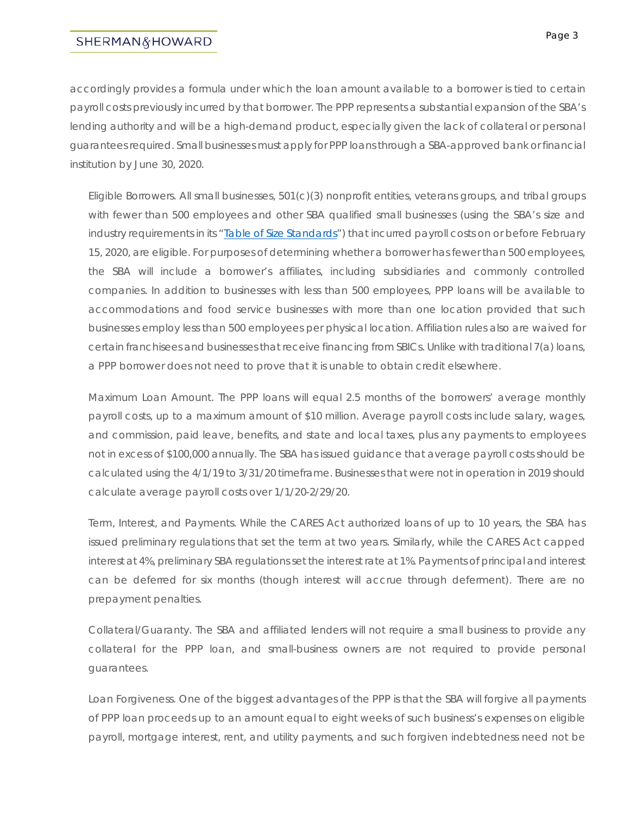accordingly provides a formula under which the loan amount available to a borrower is tied to certain payroll costs previously incurred by that borrower. The PPP represents a substantial expansion of the SBA's lending authority and will be a high-demand product, especially given the lack of collateral or personal guarantees required. Small businesses must apply for PPP loans through a SBA-approved bank or financial institution by June 30, 2020.

*Eligible Borrowers.* All small businesses, 501(c)(3) nonprofit entities, veterans groups, and tribal groups with fewer than 500 employees and other SBA qualified small businesses (using the SBA's size and industry requirements in its "**Table of Size Standards**") that incurred payroll costs on or before February 15, 2020, are eligible. For purposes of determining whether a borrower has fewer than 500 employees, the SBA will include a borrower's affiliates, including subsidiaries and commonly controlled companies. In addition to businesses with less than 500 employees, PPP loans will be available to accommodations and food service businesses with more than one location provided that such businesses employ less than 500 employees per physical location. Affiliation rules also are waived for certain franchisees and businesses that receive financing from SBICs. Unlike with traditional 7(a) loans, a PPP borrower does not need to prove that it is unable to obtain credit elsewhere.

*Maximum Loan Amount*. The PPP loans will equal 2.5 months of the borrowers' average monthly payroll costs, up to a maximum amount of \$10 million. Average payroll costs include salary, wages, and commission, paid leave, benefits, and state and local taxes, plus any payments to employees not in excess of \$100,000 annually. The SBA has issued guidance that average payroll costs should be calculated using the 4/1/19 to 3/31/20 timeframe. Businesses that were not in operation in 2019 should calculate average payroll costs over 1/1/20-2/29/20.

*Term, Interest, and Payments.* While the CARES Act authorized loans of up to 10 years, the SBA has issued preliminary regulations that set the term at two years. Similarly, while the CARES Act capped interest at 4%, preliminary SBA regulations set the interest rate at 1%. Payments of principal and interest can be deferred for six months (though interest will accrue through deferment). There are no prepayment penalties.

*Collateral/Guaranty*. The SBA and affiliated lenders will not require a small business to provide any collateral for the PPP loan, and small-business owners are not required to provide personal guarantees.

*Loan Forgiveness.* One of the biggest advantages of the PPP is that the SBA will forgive all payments of PPP loan proceeds up to an amount equal to eight weeks of such business's expenses on eligible payroll, mortgage interest, rent, and utility payments, and such forgiven indebtedness need not be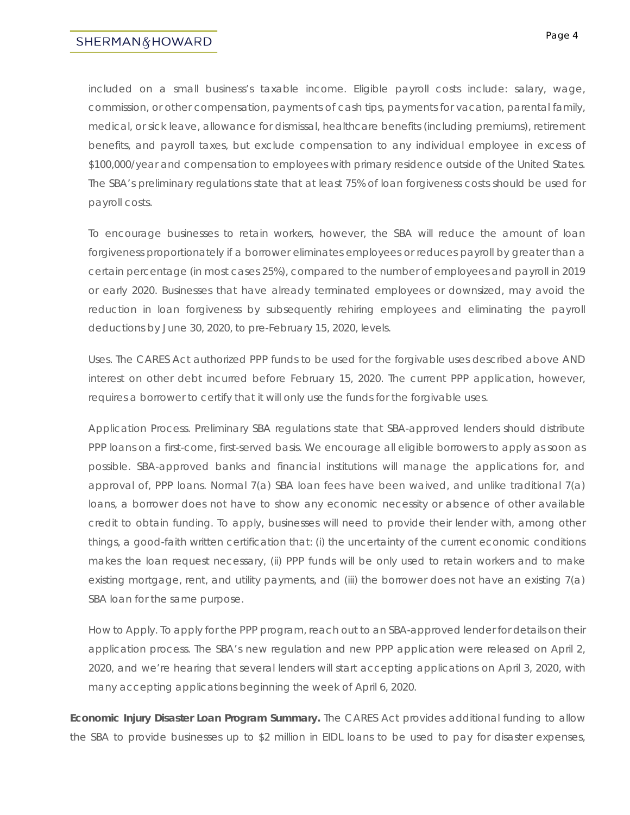# SHERMAN&HOWARD

included on a small business's taxable income. Eligible payroll costs include: salary, wage, commission, or other compensation, payments of cash tips, payments for vacation, parental family, medical, or sick leave, allowance for dismissal, healthcare benefits (including premiums), retirement benefits, and payroll taxes, but exclude compensation to any individual employee in excess of \$100,000/year and compensation to employees with primary residence outside of the United States. The SBA's preliminary regulations state that at least 75% of loan forgiveness costs should be used for payroll costs.

To encourage businesses to retain workers, however, the SBA will reduce the amount of loan forgiveness proportionately if a borrower eliminates employees or reduces payroll by greater than a certain percentage (in most cases 25%), compared to the number of employees and payroll in 2019 or early 2020. Businesses that have already terminated employees or downsized, may avoid the reduction in loan forgiveness by subsequently rehiring employees and eliminating the payroll deductions by June 30, 2020, to pre-February 15, 2020, levels.

*Uses.* The CARES Act authorized PPP funds to be used for the forgivable uses described above AND interest on other debt incurred before February 15, 2020. The current PPP application, however, requires a borrower to certify that it will only use the funds for the forgivable uses.

*Application Process*. Preliminary SBA regulations state that SBA-approved lenders should distribute PPP loans on a first-come, first-served basis. We encourage all eligible borrowers to apply as soon as possible. SBA-approved banks and financial institutions will manage the applications for, and approval of, PPP loans. Normal 7(a) SBA loan fees have been waived, and unlike traditional 7(a) loans, a borrower does not have to show any economic necessity or absence of other available credit to obtain funding. To apply, businesses will need to provide their lender with, among other things, a good-faith written certification that: (i) the uncertainty of the current economic conditions makes the loan request necessary, (ii) PPP funds will be only used to retain workers and to make existing mortgage, rent, and utility payments, and (iii) the borrower does not have an existing 7(a) SBA loan for the same purpose.

*How to Apply*. To apply for the PPP program, reach out to an SBA-approved lender for details on their application process. The SBA's new regulation and new PPP application were released on April 2, 2020, and we're hearing that several lenders will start accepting applications on April 3, 2020, with many accepting applications beginning the week of April 6, 2020.

**Economic Injury Disaster Loan Program Summary.** The CARES Act provides additional funding to allow the SBA to provide businesses up to \$2 million in EIDL loans to be used to pay for disaster expenses,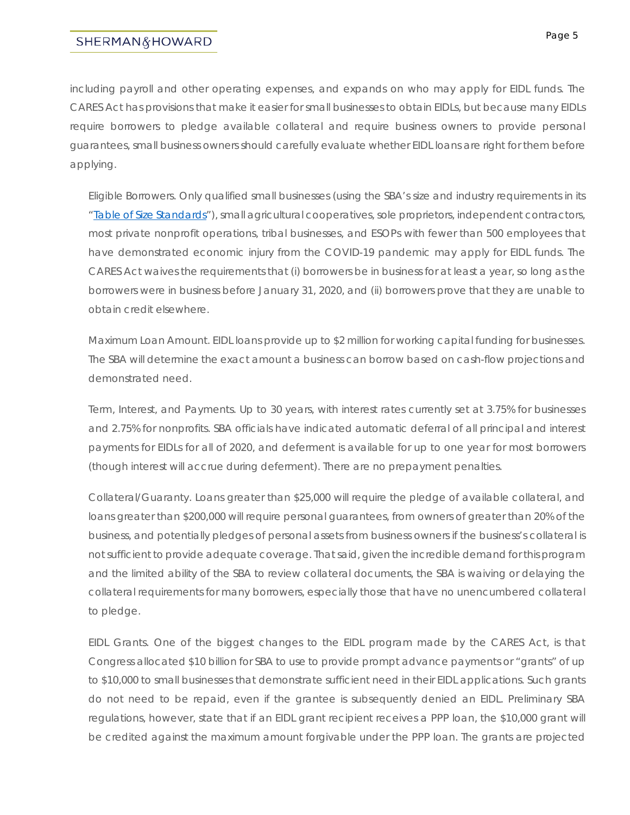# SHERMAN&HOWARD

including payroll and other operating expenses, and expands on who may apply for EIDL funds. The CARES Act has provisions that make it easier for small businesses to obtain EIDLs, but because many EIDLs require borrowers to pledge available collateral and require business owners to provide personal guarantees, small business owners should carefully evaluate whether EIDL loans are right for them before applying.

*Eligible Borrowers.* Only qualified small businesses (using the SBA's size and industry requirements in its ["Table of Size Standards"](https://www.sba.gov/document/support--table-size-standards)), small agricultural cooperatives, sole proprietors, independent contractors, most private nonprofit operations, tribal businesses, and ESOPs with fewer than 500 employees that have demonstrated economic injury from the COVID-19 pandemic may apply for EIDL funds. The CARES Act waives the requirements that (i) borrowers be in business for at least a year, so long as the borrowers were in business before January 31, 2020, and (ii) borrowers prove that they are unable to obtain credit elsewhere.

*Maximum Loan Amount.* EIDL loans provide up to \$2 million for working capital funding for businesses. The SBA will determine the exact amount a business can borrow based on cash-flow projections and demonstrated need.

*Term, Interest, and Payments.* Up to 30 years, with interest rates currently set at 3.75% for businesses and 2.75% for nonprofits. SBA officials have indicated automatic deferral of all principal and interest payments for EIDLs for all of 2020, and deferment is available for up to one year for most borrowers (though interest will accrue during deferment). There are no prepayment penalties.

*Collateral/Guaranty.* Loans greater than \$25,000 will require the pledge of available collateral, and loans greater than \$200,000 will require personal guarantees, from owners of greater than 20% of the business, and potentially pledges of personal assets from business owners if the business's collateral is not sufficient to provide adequate coverage. That said, given the incredible demand for this program and the limited ability of the SBA to review collateral documents, the SBA is waiving or delaying the collateral requirements for many borrowers, especially those that have no unencumbered collateral to pledge.

*EIDL Grants.* One of the biggest changes to the EIDL program made by the CARES Act, is that Congress allocated \$10 billion for SBA to use to provide prompt advance payments or "grants" of up to \$10,000 to small businesses that demonstrate sufficient need in their EIDL applications. Such grants do not need to be repaid, even if the grantee is subsequently denied an EIDL. Preliminary SBA regulations, however, state that if an EIDL grant recipient receives a PPP loan, the \$10,000 grant will be credited against the maximum amount forgivable under the PPP loan. The grants are projected